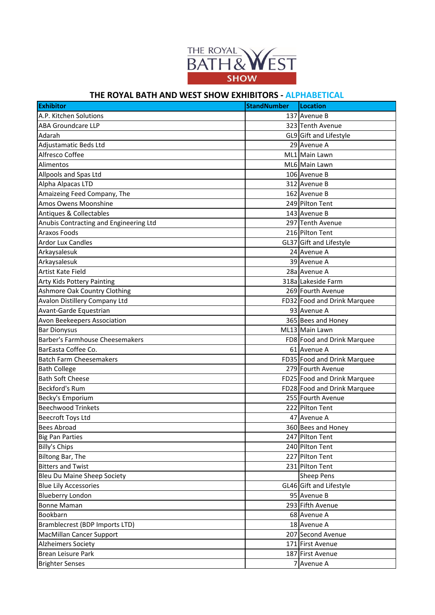

## **THE ROYAL BATH AND WEST SHOW EXHIBITORS - ALPHABETICAL**

| 137 Avenue B<br>A.P. Kitchen Solutions<br><b>ABA Groundcare LLP</b><br>323 Tenth Avenue<br>Adarah<br>GL9 Gift and Lifestyle<br>29 Avenue A<br>Adjustamatic Beds Ltd<br>Alfresco Coffee<br>ML1 Main Lawn<br>ML6 Main Lawn<br>Alimentos<br>Allpools and Spas Ltd<br>106 Avenue B<br>Alpha Alpacas LTD<br>312 Avenue B<br>Amaizeing Feed Company, The<br>162 Avenue B<br>Amos Owens Moonshine<br>249 Pilton Tent<br>Antiques & Collectables<br>143 Avenue B<br>297 Tenth Avenue<br>Anubis Contracting and Engineering Ltd<br><b>Araxos Foods</b><br>216 Pilton Tent<br><b>Ardor Lux Candles</b><br>GL37 Gift and Lifestyle<br>24 Avenue A<br>Arkaysalesuk<br>Arkaysalesuk<br>39 Avenue A |
|---------------------------------------------------------------------------------------------------------------------------------------------------------------------------------------------------------------------------------------------------------------------------------------------------------------------------------------------------------------------------------------------------------------------------------------------------------------------------------------------------------------------------------------------------------------------------------------------------------------------------------------------------------------------------------------|
|                                                                                                                                                                                                                                                                                                                                                                                                                                                                                                                                                                                                                                                                                       |
|                                                                                                                                                                                                                                                                                                                                                                                                                                                                                                                                                                                                                                                                                       |
|                                                                                                                                                                                                                                                                                                                                                                                                                                                                                                                                                                                                                                                                                       |
|                                                                                                                                                                                                                                                                                                                                                                                                                                                                                                                                                                                                                                                                                       |
|                                                                                                                                                                                                                                                                                                                                                                                                                                                                                                                                                                                                                                                                                       |
|                                                                                                                                                                                                                                                                                                                                                                                                                                                                                                                                                                                                                                                                                       |
|                                                                                                                                                                                                                                                                                                                                                                                                                                                                                                                                                                                                                                                                                       |
|                                                                                                                                                                                                                                                                                                                                                                                                                                                                                                                                                                                                                                                                                       |
|                                                                                                                                                                                                                                                                                                                                                                                                                                                                                                                                                                                                                                                                                       |
|                                                                                                                                                                                                                                                                                                                                                                                                                                                                                                                                                                                                                                                                                       |
|                                                                                                                                                                                                                                                                                                                                                                                                                                                                                                                                                                                                                                                                                       |
|                                                                                                                                                                                                                                                                                                                                                                                                                                                                                                                                                                                                                                                                                       |
|                                                                                                                                                                                                                                                                                                                                                                                                                                                                                                                                                                                                                                                                                       |
|                                                                                                                                                                                                                                                                                                                                                                                                                                                                                                                                                                                                                                                                                       |
|                                                                                                                                                                                                                                                                                                                                                                                                                                                                                                                                                                                                                                                                                       |
|                                                                                                                                                                                                                                                                                                                                                                                                                                                                                                                                                                                                                                                                                       |
| Artist Kate Field<br>28a Avenue A                                                                                                                                                                                                                                                                                                                                                                                                                                                                                                                                                                                                                                                     |
| 318a Lakeside Farm<br>Arty Kids Pottery Painting                                                                                                                                                                                                                                                                                                                                                                                                                                                                                                                                                                                                                                      |
| Ashmore Oak Country Clothing<br>269 Fourth Avenue                                                                                                                                                                                                                                                                                                                                                                                                                                                                                                                                                                                                                                     |
| Avalon Distillery Company Ltd<br>FD32 Food and Drink Marquee                                                                                                                                                                                                                                                                                                                                                                                                                                                                                                                                                                                                                          |
| Avant-Garde Equestrian<br>93 Avenue A                                                                                                                                                                                                                                                                                                                                                                                                                                                                                                                                                                                                                                                 |
| Avon Beekeepers Association<br>365 Bees and Honey                                                                                                                                                                                                                                                                                                                                                                                                                                                                                                                                                                                                                                     |
| <b>Bar Dionysus</b><br>ML13 Main Lawn                                                                                                                                                                                                                                                                                                                                                                                                                                                                                                                                                                                                                                                 |
| Barber's Farmhouse Cheesemakers<br>FD8 Food and Drink Marquee                                                                                                                                                                                                                                                                                                                                                                                                                                                                                                                                                                                                                         |
| BarEasta Coffee Co.<br>61 Avenue A                                                                                                                                                                                                                                                                                                                                                                                                                                                                                                                                                                                                                                                    |
| <b>Batch Farm Cheesemakers</b><br>FD35 Food and Drink Marquee                                                                                                                                                                                                                                                                                                                                                                                                                                                                                                                                                                                                                         |
| 279 Fourth Avenue<br><b>Bath College</b>                                                                                                                                                                                                                                                                                                                                                                                                                                                                                                                                                                                                                                              |
| <b>Bath Soft Cheese</b><br>FD25 Food and Drink Marquee                                                                                                                                                                                                                                                                                                                                                                                                                                                                                                                                                                                                                                |
| <b>Beckford's Rum</b><br>FD28 Food and Drink Marquee                                                                                                                                                                                                                                                                                                                                                                                                                                                                                                                                                                                                                                  |
| 255 Fourth Avenue<br>Becky's Emporium                                                                                                                                                                                                                                                                                                                                                                                                                                                                                                                                                                                                                                                 |
| <b>Beechwood Trinkets</b><br>222 Pilton Tent                                                                                                                                                                                                                                                                                                                                                                                                                                                                                                                                                                                                                                          |
| <b>Beecroft Toys Ltd</b><br>47 Avenue A                                                                                                                                                                                                                                                                                                                                                                                                                                                                                                                                                                                                                                               |
| 360 Bees and Honey<br><b>Bees Abroad</b>                                                                                                                                                                                                                                                                                                                                                                                                                                                                                                                                                                                                                                              |
| 247 Pilton Tent<br><b>Big Pan Parties</b>                                                                                                                                                                                                                                                                                                                                                                                                                                                                                                                                                                                                                                             |
| 240 Pilton Tent<br><b>Billy's Chips</b>                                                                                                                                                                                                                                                                                                                                                                                                                                                                                                                                                                                                                                               |
| 227 Pilton Tent<br>Biltong Bar, The                                                                                                                                                                                                                                                                                                                                                                                                                                                                                                                                                                                                                                                   |
| 231 Pilton Tent<br><b>Bitters and Twist</b>                                                                                                                                                                                                                                                                                                                                                                                                                                                                                                                                                                                                                                           |
| <b>Bleu Du Maine Sheep Society</b><br><b>Sheep Pens</b>                                                                                                                                                                                                                                                                                                                                                                                                                                                                                                                                                                                                                               |
| <b>Blue Lily Accessories</b><br>GL46 Gift and Lifestyle                                                                                                                                                                                                                                                                                                                                                                                                                                                                                                                                                                                                                               |
| 95 Avenue B<br><b>Blueberry London</b>                                                                                                                                                                                                                                                                                                                                                                                                                                                                                                                                                                                                                                                |
| 293 Fifth Avenue<br><b>Bonne Maman</b>                                                                                                                                                                                                                                                                                                                                                                                                                                                                                                                                                                                                                                                |
| Bookbarn<br>68 Avenue A                                                                                                                                                                                                                                                                                                                                                                                                                                                                                                                                                                                                                                                               |
| 18 Avenue A<br>Bramblecrest (BDP Imports LTD)                                                                                                                                                                                                                                                                                                                                                                                                                                                                                                                                                                                                                                         |
| 207 Second Avenue<br>MacMillan Cancer Support                                                                                                                                                                                                                                                                                                                                                                                                                                                                                                                                                                                                                                         |
| 171 First Avenue<br><b>Alzheimers Society</b>                                                                                                                                                                                                                                                                                                                                                                                                                                                                                                                                                                                                                                         |
| Brean Leisure Park<br>187 First Avenue                                                                                                                                                                                                                                                                                                                                                                                                                                                                                                                                                                                                                                                |
| <b>Brighter Senses</b><br>7 Avenue A                                                                                                                                                                                                                                                                                                                                                                                                                                                                                                                                                                                                                                                  |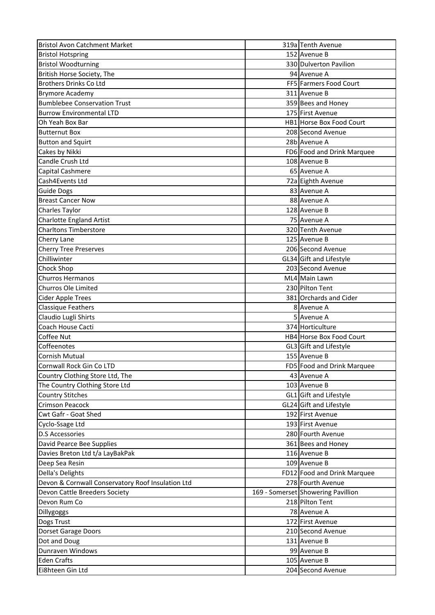| <b>Bristol Avon Catchment Market</b>              | 319a Tenth Avenue                  |
|---------------------------------------------------|------------------------------------|
| <b>Bristol Hotspring</b>                          | 152 Avenue B                       |
| <b>Bristol Woodturning</b>                        | 330 Dulverton Pavilion             |
| British Horse Society, The                        | 94 Avenue A                        |
| <b>Brothers Drinks Co Ltd</b>                     | FF5 Farmers Food Court             |
| <b>Brymore Academy</b>                            | 311 Avenue B                       |
| <b>Bumblebee Conservation Trust</b>               | 359 Bees and Honey                 |
| <b>Burrow Environmental LTD</b>                   | 175 First Avenue                   |
| Oh Yeah Box Bar                                   | HB1 Horse Box Food Court           |
| <b>Butternut Box</b>                              | 208 Second Avenue                  |
| <b>Button and Squirt</b>                          | 28b Avenue A                       |
| Cakes by Nikki                                    | FD6 Food and Drink Marquee         |
| Candle Crush Ltd                                  | 108 Avenue B                       |
| Capital Cashmere                                  | 65 Avenue A                        |
| Cash4Events Ltd                                   | 72a Eighth Avenue                  |
| Guide Dogs                                        | 83 Avenue A                        |
| <b>Breast Cancer Now</b>                          | 88 Avenue A                        |
| Charles Taylor                                    | 128 Avenue B                       |
| <b>Charlotte England Artist</b>                   | 75 Avenue A                        |
| <b>Charltons Timberstore</b>                      | 320 Tenth Avenue                   |
| Cherry Lane                                       | 125 Avenue B                       |
| <b>Cherry Tree Preserves</b>                      | 206 Second Avenue                  |
| Chilliwinter                                      | GL34 Gift and Lifestyle            |
| Chock Shop                                        | 203 Second Avenue                  |
| <b>Churros Hermanos</b>                           | ML4 Main Lawn                      |
| Churros Ole Limited                               | 230 Pilton Tent                    |
| Cider Apple Trees                                 | 381 Orchards and Cider             |
| <b>Classique Feathers</b>                         | 8 Avenue A                         |
| Claudio Lugli Shirts                              | 5 Avenue A                         |
| Coach House Cacti                                 | 374 Horticulture                   |
| Coffee Nut                                        | HB4 Horse Box Food Court           |
| Coffeenotes                                       | GL3 Gift and Lifestyle             |
| <b>Cornish Mutual</b>                             | 155 Avenue B                       |
| Cornwall Rock Gin Co LTD                          | FD5 Food and Drink Marquee         |
| Country Clothing Store Ltd, The                   | 43 Avenue A                        |
| The Country Clothing Store Ltd                    | 103 Avenue B                       |
| <b>Country Stitches</b>                           | GL1 Gift and Lifestyle             |
| <b>Crimson Peacock</b>                            | GL24 Gift and Lifestyle            |
| Cwt Gafr - Goat Shed                              | 192 First Avenue                   |
| Cyclo-Ssage Ltd                                   | 193 First Avenue                   |
| <b>D.S Accessories</b>                            | 280 Fourth Avenue                  |
| David Pearce Bee Supplies                         |                                    |
|                                                   | 361 Bees and Honey                 |
| Davies Breton Ltd t/a LayBakPak                   | 116 Avenue B                       |
| Deep Sea Resin                                    | 109 Avenue B                       |
| Della's Delights                                  | FD12 Food and Drink Marquee        |
| Devon & Cornwall Conservatory Roof Insulation Ltd | 278 Fourth Avenue                  |
| Devon Cattle Breeders Society                     | 169 - Somerset Showering Pavillion |
| Devon Rum Co                                      | 218 Pilton Tent                    |
| Dillygoggs                                        | 78 Avenue A                        |
| Dogs Trust                                        | 172 First Avenue                   |
| <b>Dorset Garage Doors</b>                        | 210 Second Avenue                  |
| Dot and Doug                                      | 131 Avenue B                       |
| Dunraven Windows                                  | 99 Avenue B                        |
| <b>Eden Crafts</b>                                | 105 Avenue B                       |
| Ei8hteen Gin Ltd                                  | 204 Second Avenue                  |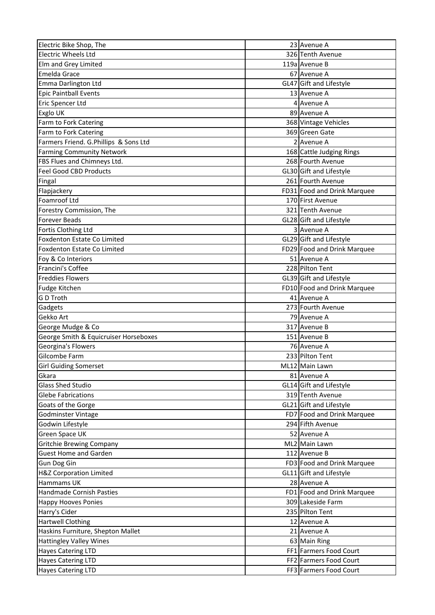| Electric Bike Shop, The                         | 23 Avenue A                            |
|-------------------------------------------------|----------------------------------------|
| <b>Electric Wheels Ltd</b>                      | 326 Tenth Avenue                       |
| Elm and Grey Limited                            | 119a Avenue B                          |
| Emelda Grace                                    | 67 Avenue A                            |
| Emma Darlington Ltd                             | GL47 Gift and Lifestyle                |
| <b>Epic Paintball Events</b>                    | 13 Avenue A                            |
| Eric Spencer Ltd                                | 4 Avenue A                             |
| Exglo UK                                        | 89 Avenue A                            |
| Farm to Fork Catering                           | 368 Vintage Vehicles                   |
| Farm to Fork Catering                           | 369 Green Gate                         |
| Farmers Friend. G.Phillips & Sons Ltd           | 2 Avenue A                             |
| <b>Farming Community Network</b>                | 168 Cattle Judging Rings               |
| FBS Flues and Chimneys Ltd.                     | 268 Fourth Avenue                      |
| <b>Feel Good CBD Products</b>                   | GL30 Gift and Lifestyle                |
| Fingal                                          | 261 Fourth Avenue                      |
| Flapjackery                                     | FD31 Food and Drink Marquee            |
| Foamroof Ltd                                    | 170 First Avenue                       |
| Forestry Commission, The                        | 321 Tenth Avenue                       |
| <b>Forever Beads</b>                            | GL28 Gift and Lifestyle                |
| Fortis Clothing Ltd                             | 3 Avenue A                             |
| <b>Foxdenton Estate Co Limited</b>              | GL29 Gift and Lifestyle                |
| Foxdenton Estate Co Limited                     | FD29 Food and Drink Marquee            |
| Foy & Co Interiors                              | 51 Avenue A                            |
| Francini's Coffee                               | 228 Pilton Tent                        |
| <b>Freddies Flowers</b>                         | GL39 Gift and Lifestyle                |
| Fudge Kitchen                                   | FD10 Food and Drink Marquee            |
| G D Troth                                       | 41 Avenue A                            |
| Gadgets                                         | 273 Fourth Avenue                      |
| Gekko Art                                       | 79 Avenue A                            |
| George Mudge & Co                               | 317 Avenue B                           |
| George Smith & Equicruiser Horseboxes           | 151 Avenue B                           |
| Georgina's Flowers                              | 76 Avenue A                            |
| Gilcombe Farm                                   | 233 Pilton Tent                        |
| <b>Girl Guiding Somerset</b>                    | ML12 Main Lawn                         |
| Gkara                                           | 81 Avenue A                            |
| <b>Glass Shed Studio</b>                        | GL14 Gift and Lifestyle                |
| <b>Glebe Fabrications</b>                       | 319 Tenth Avenue                       |
| Goats of the Gorge                              | GL21 Gift and Lifestyle                |
| Godminster Vintage                              | FD7 Food and Drink Marquee             |
| Godwin Lifestyle                                | 294 Fifth Avenue                       |
| Green Space UK                                  | 52 Avenue A                            |
| <b>Gritchie Brewing Company</b>                 | ML2 Main Lawn                          |
| <b>Guest Home and Garden</b>                    | 112 Avenue B                           |
| Gun Dog Gin                                     | FD3 Food and Drink Marquee             |
| H&Z Corporation Limited                         | GL11 Gift and Lifestyle                |
| Hammams UK                                      | 28 Avenue A                            |
| Handmade Cornish Pasties                        | FD1 Food and Drink Marquee             |
| <b>Happy Hooves Ponies</b>                      | 309 Lakeside Farm                      |
| Harry's Cider                                   | 235 Pilton Tent                        |
| <b>Hartwell Clothing</b>                        | 12 Avenue A                            |
| Haskins Furniture, Shepton Mallet               | 21 Avenue A                            |
|                                                 |                                        |
| <b>Hattingley Valley Wines</b>                  | 63 Main Ring<br>FF1 Farmers Food Court |
| <b>Hayes Catering LTD</b><br>Hayes Catering LTD | FF2 Farmers Food Court                 |
|                                                 |                                        |
| <b>Hayes Catering LTD</b>                       | FF3 Farmers Food Court                 |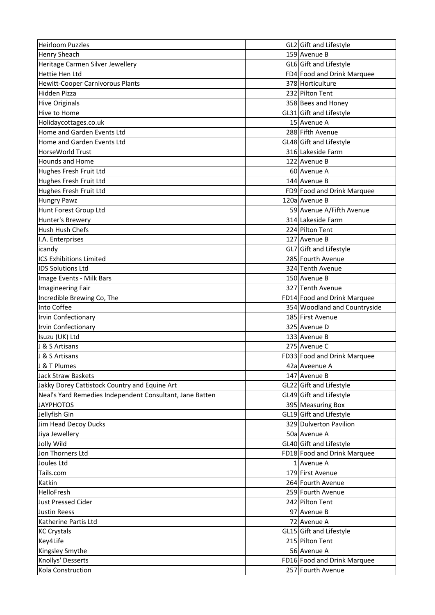| <b>Heirloom Puzzles</b>                                  | GL2 Gift and Lifestyle       |
|----------------------------------------------------------|------------------------------|
| <b>Henry Sheach</b>                                      | 159 Avenue B                 |
| Heritage Carmen Silver Jewellery                         | GL6 Gift and Lifestyle       |
| Hettie Hen Ltd                                           | FD4 Food and Drink Marquee   |
| <b>Hewitt-Cooper Carnivorous Plants</b>                  | 378 Horticulture             |
| Hidden Pizza                                             | 232 Pilton Tent              |
| <b>Hive Originals</b>                                    | 358 Bees and Honey           |
| Hive to Home                                             | GL31 Gift and Lifestyle      |
| Holidaycottages.co.uk                                    | 15 Avenue A                  |
| Home and Garden Events Ltd                               | 288 Fifth Avenue             |
| Home and Garden Events Ltd                               | GL48 Gift and Lifestyle      |
| HorseWorld Trust                                         | 316 Lakeside Farm            |
| <b>Hounds and Home</b>                                   | 122 Avenue B                 |
| Hughes Fresh Fruit Ltd                                   | 60 Avenue A                  |
| Hughes Fresh Fruit Ltd                                   | 144 Avenue B                 |
| Hughes Fresh Fruit Ltd                                   | FD9 Food and Drink Marquee   |
| <b>Hungry Pawz</b>                                       | 120a Avenue B                |
| Hunt Forest Group Ltd                                    | 59 Avenue A/Fifth Avenue     |
| Hunter's Brewery                                         | 314 Lakeside Farm            |
| Hush Hush Chefs                                          | 224 Pilton Tent              |
| I.A. Enterprises                                         | 127 Avenue B                 |
|                                                          |                              |
| icandy                                                   | GL7 Gift and Lifestyle       |
| <b>ICS Exhibitions Limited</b>                           | 285 Fourth Avenue            |
| <b>IDS Solutions Ltd</b>                                 | 324 Tenth Avenue             |
| Image Events - Milk Bars                                 | 150 Avenue B                 |
| Imagineering Fair                                        | 327 Tenth Avenue             |
| Incredible Brewing Co, The                               | FD14 Food and Drink Marquee  |
| Into Coffee                                              | 354 Woodland and Countryside |
| Irvin Confectionary                                      | 185 First Avenue             |
| <b>Irvin Confectionary</b>                               | 325 Avenue D                 |
| Isuzu (UK) Ltd                                           | 133 Avenue B                 |
| J & S Artisans                                           | 275 Avenue C                 |
| J & S Artisans                                           | FD33 Food and Drink Marquee  |
| J & T Plumes                                             | 42a Aveenue A                |
| <b>Jack Straw Baskets</b>                                | 147 Avenue B                 |
| Jakky Dorey Cattistock Country and Equine Art            | GL22 Gift and Lifestyle      |
| Neal's Yard Remedies Independent Consultant, Jane Batten | GL49 Gift and Lifestyle      |
| <b>JAYPHOTOS</b>                                         | 395 Measuring Box            |
| Jellyfish Gin                                            | GL19 Gift and Lifestyle      |
| Jim Head Decoy Ducks                                     | 329 Dulverton Pavilion       |
| Jiya Jewellery                                           | 50a Avenue A                 |
| Jolly Wild                                               | GL40 Gift and Lifestyle      |
| Jon Thorners Ltd                                         | FD18 Food and Drink Marquee  |
| Joules Ltd                                               | 1 Avenue A                   |
| Tails.com                                                | 179 First Avenue             |
| Katkin                                                   | 264 Fourth Avenue            |
| HelloFresh                                               | 259 Fourth Avenue            |
| <b>Just Pressed Cider</b>                                | 242 Pilton Tent              |
| <b>Justin Reess</b>                                      | 97 Avenue B                  |
| Katherine Partis Ltd                                     | 72 Avenue A                  |
| <b>KC Crystals</b>                                       | GL15 Gift and Lifestyle      |
| Key4Life                                                 | 215 Pilton Tent              |
| Kingsley Smythe                                          | 56 Avenue A                  |
| Knollys' Desserts                                        | FD16 Food and Drink Marquee  |
| Kola Construction                                        | 257 Fourth Avenue            |
|                                                          |                              |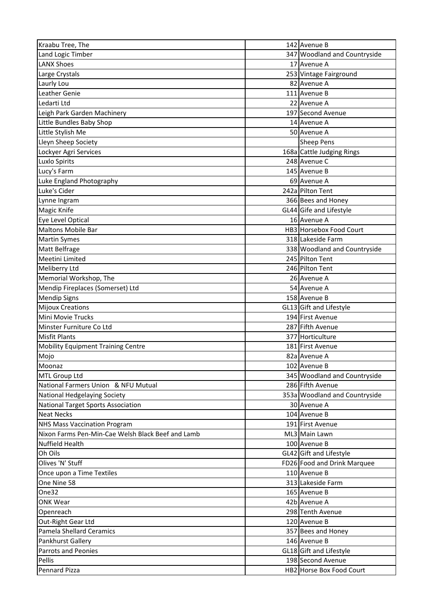| Kraabu Tree, The                                  | 142 Avenue B                  |
|---------------------------------------------------|-------------------------------|
| Land Logic Timber                                 | 347 Woodland and Countryside  |
| <b>LANX Shoes</b>                                 | 17 Avenue A                   |
| Large Crystals                                    | 253 Vintage Fairground        |
| Laurly Lou                                        | 82 Avenue A                   |
| Leather Genie                                     | 111 Avenue B                  |
| Ledarti Ltd                                       | 22 Avenue A                   |
| Leigh Park Garden Machinery                       | 197 Second Avenue             |
| Little Bundles Baby Shop                          | 14 Avenue A                   |
| Little Stylish Me                                 | 50 Avenue A                   |
| Lleyn Sheep Society                               | <b>Sheep Pens</b>             |
| Lockyer Agri Services                             | 168a Cattle Judging Rings     |
| Luxlo Spirits                                     | 248 Avenue C                  |
| Lucy's Farm                                       | 145 Avenue B                  |
| Luke England Photography                          | 69 Avenue A                   |
| Luke's Cider                                      | 242a Pilton Tent              |
| Lynne Ingram                                      | 366 Bees and Honey            |
| <b>Magic Knife</b>                                | GL44 Gife and Lifestyle       |
| Eye Level Optical                                 | 16 Avenue A                   |
| <b>Maltons Mobile Bar</b>                         | HB3 Horsebox Food Court       |
| <b>Martin Symes</b>                               | 318 Lakeside Farm             |
| Matt Belfrage                                     | 338 Woodland and Countryside  |
| Meetini Limited                                   | 245 Pilton Tent               |
| Meliberry Ltd                                     | 246 Pilton Tent               |
| Memorial Workshop, The                            | 26 Avenue A                   |
| Mendip Fireplaces (Somerset) Ltd                  | 54 Avenue A                   |
|                                                   | 158 Avenue B                  |
| <b>Mendip Signs</b><br><b>Mijoux Creations</b>    | GL13 Gift and Lifestyle       |
| <b>Mini Movie Trucks</b>                          | 194 First Avenue              |
| Minster Furniture Co Ltd                          | 287 Fifth Avenue              |
| <b>Misfit Plants</b>                              | 377 Horticulture              |
|                                                   | 181 First Avenue              |
| <b>Mobility Equipment Training Centre</b>         |                               |
| Mojo                                              | 82a Avenue A                  |
| Moonaz                                            | 102 Avenue B                  |
| MTL Group Ltd                                     | 345 Woodland and Countryside  |
| National Farmers Union & NFU Mutual               | 286 Fifth Avenue              |
| National Hedgelaying Society                      | 353a Woodland and Countryside |
| <b>National Target Sports Association</b>         | 30 Avenue A                   |
| <b>Neat Necks</b>                                 | 104 Avenue B                  |
| <b>NHS Mass Vaccination Program</b>               | 191 First Avenue              |
| Nixon Farms Pen-Min-Cae Welsh Black Beef and Lamb | ML3 Main Lawn                 |
| Nuffield Health                                   | 100 Avenue B                  |
| Oh Oils                                           | GL42 Gift and Lifestyle       |
| Olives 'N' Stuff                                  | FD26 Food and Drink Marquee   |
| Once upon a Time Textiles                         | 110 Avenue B                  |
| One Nine 58                                       | 313 Lakeside Farm             |
| One32                                             | 165 Avenue B                  |
| <b>ONK Wear</b>                                   | 42b Avenue A                  |
| Openreach                                         | 298 Tenth Avenue              |
| Out-Right Gear Ltd                                | 120 Avenue B                  |
| Pamela Shellard Ceramics                          | 357 Bees and Honey            |
| Pankhurst Gallery                                 | 146 Avenue B                  |
| Parrots and Peonies                               | GL18 Gift and Lifestyle       |
| Pellis                                            | 198 Second Avenue             |
| Pennard Pizza                                     | HB2 Horse Box Food Court      |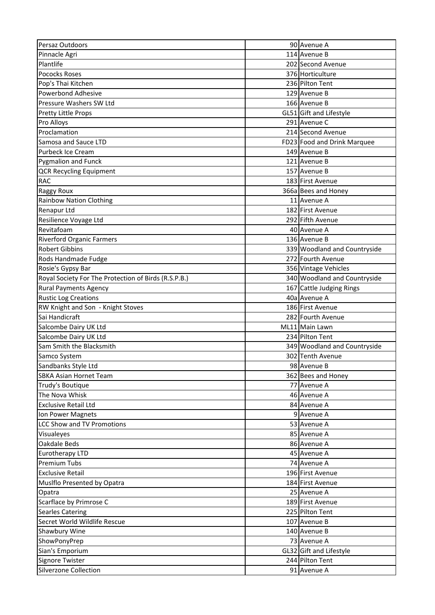| Persaz Outdoors                                      | 90 Avenue A                  |
|------------------------------------------------------|------------------------------|
| Pinnacle Agri                                        | 114 Avenue B                 |
| Plantlife                                            | 202 Second Avenue            |
| <b>Pococks Roses</b>                                 | 376 Horticulture             |
| Pop's Thai Kitchen                                   | 236 Pilton Tent              |
| <b>Powerbond Adhesive</b>                            | 129 Avenue B                 |
| Pressure Washers SW Ltd                              | 166 Avenue B                 |
| <b>Pretty Little Props</b>                           | GL51 Gift and Lifestyle      |
| Pro Alloys                                           | 291 Avenue C                 |
| Proclamation                                         | 214 Second Avenue            |
| Samosa and Sauce LTD                                 | FD23 Food and Drink Marquee  |
| Purbeck Ice Cream                                    | 149 Avenue B                 |
| <b>Pygmalion and Funck</b>                           | 121 Avenue B                 |
| <b>QCR Recycling Equipment</b>                       | 157 Avenue B                 |
| <b>RAC</b>                                           | 183 First Avenue             |
| <b>Raggy Roux</b>                                    | 366a Bees and Honey          |
| <b>Rainbow Nation Clothing</b>                       | 11 Avenue A                  |
| <b>Renapur Ltd</b>                                   | 182 First Avenue             |
| Resilience Voyage Ltd                                | 292 Fifth Avenue             |
| Revitafoam                                           | 40 Avenue A                  |
| <b>Riverford Organic Farmers</b>                     | 136 Avenue B                 |
| <b>Robert Gibbins</b>                                | 339 Woodland and Countryside |
|                                                      | 272 Fourth Avenue            |
| Rods Handmade Fudge                                  |                              |
| Rosie's Gypsy Bar                                    | 356 Vintage Vehicles         |
| Royal Society For The Protection of Birds (R.S.P.B.) | 340 Woodland and Countryside |
| <b>Rural Payments Agency</b>                         | 167 Cattle Judging Rings     |
| <b>Rustic Log Creations</b>                          | 40a Avenue A                 |
| RW Knight and Son - Knight Stoves                    | 186 First Avenue             |
| Sai Handicraft                                       | 282 Fourth Avenue            |
| Salcombe Dairy UK Ltd                                | ML11 Main Lawn               |
| Salcombe Dairy UK Ltd                                | 234 Pilton Tent              |
| Sam Smith the Blacksmith                             | 349 Woodland and Countryside |
| Samco System                                         | 302 Tenth Avenue             |
| Sandbanks Style Ltd                                  | 98 Avenue B                  |
| <b>SBKA Asian Hornet Team</b>                        | 362 Bees and Honey           |
| Trudy's Boutique                                     | 77 Avenue A                  |
| The Nova Whisk                                       | 46 Avenue A                  |
| <b>Exclusive Retail Ltd</b>                          | 84 Avenue A                  |
| Ion Power Magnets                                    | 9 Avenue A                   |
| <b>LCC Show and TV Promotions</b>                    | 53 Avenue A                  |
| Visualeyes                                           | 85 Avenue A                  |
| Oakdale Beds                                         | 86 Avenue A                  |
| <b>Eurotherapy LTD</b>                               | 45 Avenue A                  |
| <b>Premium Tubs</b>                                  | 74 Avenue A                  |
| <b>Exclusive Retail</b>                              | 196 First Avenue             |
| Muslflo Presented by Opatra                          | 184 First Avenue             |
| Opatra                                               | 25 Avenue A                  |
| Scarflace by Primrose C                              | 189 First Avenue             |
| <b>Searles Catering</b>                              | 225 Pilton Tent              |
| Secret World Wildlife Rescue                         | 107 Avenue B                 |
| Shawbury Wine                                        | 140 Avenue B                 |
| ShowPonyPrep                                         | 73 Avenue A                  |
| Sian's Emporium                                      | GL32 Gift and Lifestyle      |
| Signore Twister                                      | 244 Pilton Tent              |
| Silverzone Collection                                | 91 Avenue A                  |
|                                                      |                              |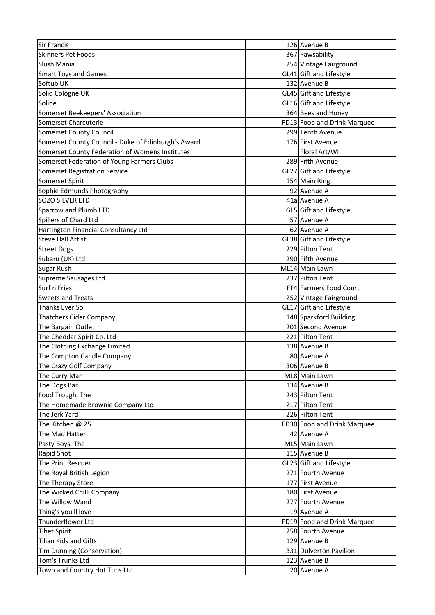| <b>Sir Francis</b>                                  | 126 Avenue B                |
|-----------------------------------------------------|-----------------------------|
| <b>Skinners Pet Foods</b>                           | 367 Pawsability             |
| Slush Mania                                         | 254 Vintage Fairground      |
| <b>Smart Toys and Games</b>                         | GL41 Gift and Lifestyle     |
| Softub UK                                           | 132 Avenue B                |
| Solid Cologne UK                                    | GL45 Gift and Lifestyle     |
| Soline                                              | GL16 Gift and Lifestyle     |
| Somerset Beekeepers' Association                    | 364 Bees and Honey          |
| Somerset Charcuterie                                | FD13 Food and Drink Marquee |
| <b>Somerset County Council</b>                      | 299 Tenth Avenue            |
| Somerset County Council - Duke of Edinburgh's Award | 176 First Avenue            |
| Somerset County Federation of Womens Institutes     | Floral Art/WI               |
| Somerset Federation of Young Farmers Clubs          | 289 Fifth Avenue            |
| <b>Somerset Registration Service</b>                | GL27 Gift and Lifestyle     |
| Somerset Spirit                                     | 154 Main Ring               |
| Sophie Edmunds Photography                          | 92 Avenue A                 |
| <b>SOZO SILVER LTD</b>                              | 41a Avenue A                |
| Sparrow and Plumb LTD                               | GL5 Gift and Lifestyle      |
| Spillers of Chard Ltd                               | 57 Avenue A                 |
| Hartington Financial Consultancy Ltd                | 62 Avenue A                 |
| <b>Steve Hall Artist</b>                            | GL38 Gift and Lifestyle     |
| <b>Street Dogs</b>                                  | 229 Pilton Tent             |
| Subaru (UK) Ltd                                     | 290 Fifth Avenue            |
| <b>Sugar Rush</b>                                   | ML14 Main Lawn              |
| Supreme Sausages Ltd                                | 237 Pilton Tent             |
| Surf n Fries                                        | FF4 Farmers Food Court      |
| <b>Sweets and Treats</b>                            | 252 Vintage Fairground      |
| Thanks Ever So                                      | GL17 Gift and Lifestyle     |
| <b>Thatchers Cider Company</b>                      | 148 Sparkford Building      |
| The Bargain Outlet                                  | 201 Second Avenue           |
| The Cheddar Spirit Co. Ltd                          | 221 Pilton Tent             |
| The Clothing Exchange Limited                       | 138 Avenue B                |
| The Compton Candle Company                          | 80 Avenue A                 |
| The Crazy Golf Company                              | 306 Avenue B                |
| The Curry Man                                       | ML8 Main Lawn               |
| The Dogs Bar                                        | 134 Avenue B                |
| Food Trough, The                                    | 243 Pilton Tent             |
| The Homemade Brownie Company Ltd                    | 217 Pilton Tent             |
| The Jerk Yard                                       | 226 Pilton Tent             |
| The Kitchen @ 25                                    | FD30 Food and Drink Marquee |
| The Mad Hatter                                      | 42 Avenue A                 |
| Pasty Boys, The                                     | ML5 Main Lawn               |
| Rapid Shot                                          | 115 Avenue B                |
| The Print Rescuer                                   | GL23 Gift and Lifestyle     |
| The Royal British Legion                            | 271 Fourth Avenue           |
| The Therapy Store                                   | 177 First Avenue            |
| The Wicked Chilli Company                           | 180 First Avenue            |
| The Willow Wand                                     | 277 Fourth Avenue           |
| Thing's you'll love                                 | 19 Avenue A                 |
| Thunderflower Ltd                                   | FD19 Food and Drink Marquee |
| <b>Tibet Spirit</b>                                 | 258 Fourth Avenue           |
| <b>Tilian Kids and Gifts</b>                        | 129 Avenue B                |
| Tim Dunning (Conservation)                          | 331 Dulverton Pavilion      |
| Tom's Trunks Ltd                                    | 123 Avenue B                |
| Town and Country Hot Tubs Ltd                       | 20 Avenue A                 |
|                                                     |                             |